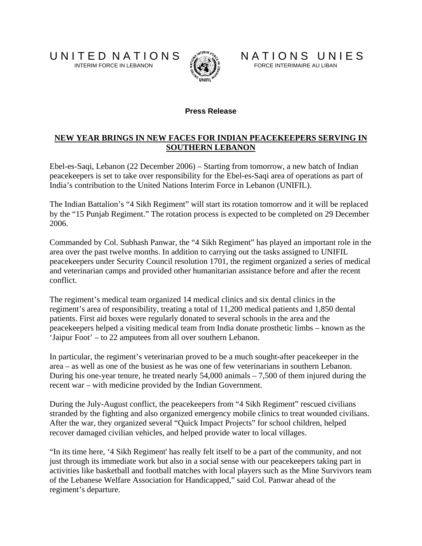

U N I T E D N A T I O N S<br>INTERIM FORCE IN LEBANON FORCE INTERIMAIRE AU LIBAN

## **Press Release**

## **NEW YEAR BRINGS IN NEW FACES FOR INDIAN PEACEKEEPERS SERVING IN SOUTHERN LEBANON**

Ebel-es-Saqi, Lebanon (22 December 2006) – Starting from tomorrow, a new batch of Indian peacekeepers is set to take over responsibility for the Ebel-es-Saqi area of operations as part of India's contribution to the United Nations Interim Force in Lebanon (UNIFIL).

The Indian Battalion's "4 Sikh Regiment" will start its rotation tomorrow and it will be replaced by the "15 Punjab Regiment." The rotation process is expected to be completed on 29 December 2006.

Commanded by Col. Subhash Panwar, the "4 Sikh Regiment" has played an important role in the area over the past twelve months. In addition to carrying out the tasks assigned to UNIFIL peacekeepers under Security Council resolution 1701, the regiment organized a series of medical and veterinarian camps and provided other humanitarian assistance before and after the recent conflict.

The regiment's medical team organized 14 medical clinics and six dental clinics in the regiment's area of responsibility, treating a total of 11,200 medical patients and 1,850 dental patients. First aid boxes were regularly donated to several schools in the area and the peacekeepers helped a visiting medical team from India donate prosthetic limbs – known as the 'Jaipur Foot' – to 22 amputees from all over southern Lebanon.

In particular, the regiment's veterinarian proved to be a much sought-after peacekeeper in the area – as well as one of the busiest as he was one of few veterinarians in southern Lebanon. During his one-year tenure, he treated nearly 54,000 animals – 7,500 of them injured during the recent war – with medicine provided by the Indian Government.

During the July-August conflict, the peacekeepers from "4 Sikh Regiment" rescued civilians stranded by the fighting and also organized emergency mobile clinics to treat wounded civilians. After the war, they organized several "Quick Impact Projects" for school children, helped recover damaged civilian vehicles, and helped provide water to local villages.

"In its time here, '4 Sikh Regiment' has really felt itself to be a part of the community, and not just through its immediate work but also in a social sense with our peacekeepers taking part in activities like basketball and football matches with local players such as the Mine Survivors team of the Lebanese Welfare Association for Handicapped," said Col. Panwar ahead of the regiment's departure.